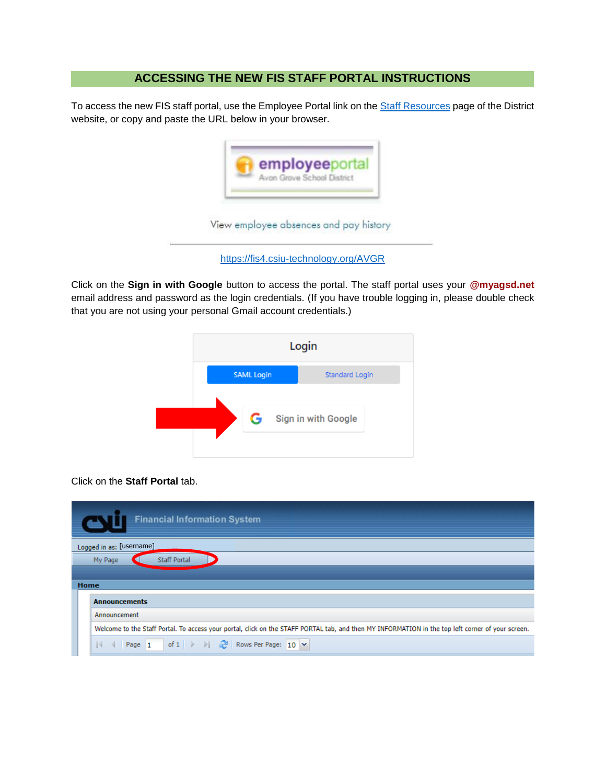## **ACCESSING THE NEW FIS STAFF PORTAL INSTRUCTIONS**

To access the new FIS staff portal, use the Employee Portal link on the **Staff Resources** page of the District website, or copy and paste the URL below in your browser.



View employee absences and pay history

<https://fis4.csiu-technology.org/AVGR>

Click on the **Sign in with Google** button to access the portal. The staff portal uses your **@myagsd.net** email address and password as the login credentials. (If you have trouble logging in, please double check that you are not using your personal Gmail account credentials.)



Click on the **Staff Portal** tab.

|                          | <b>Financial Information System</b>                                                                                                               |  |  |  |  |
|--------------------------|---------------------------------------------------------------------------------------------------------------------------------------------------|--|--|--|--|
| Logged in as: [username] |                                                                                                                                                   |  |  |  |  |
|                          | <b>Staff Portal</b><br>My Page                                                                                                                    |  |  |  |  |
|                          |                                                                                                                                                   |  |  |  |  |
| Home                     |                                                                                                                                                   |  |  |  |  |
|                          | <b>Announcements</b>                                                                                                                              |  |  |  |  |
|                          | Announcement                                                                                                                                      |  |  |  |  |
|                          | Welcome to the Staff Portal. To access your portal, click on the STAFF PORTAL tab, and then MY INFORMATION in the top left corner of your screen. |  |  |  |  |
|                          | 4   Page   1   of 1   $\triangleright$   $\mathbb{R}$   Rows Per Page:   10 $\triangleright$<br>$\mathbb N$                                       |  |  |  |  |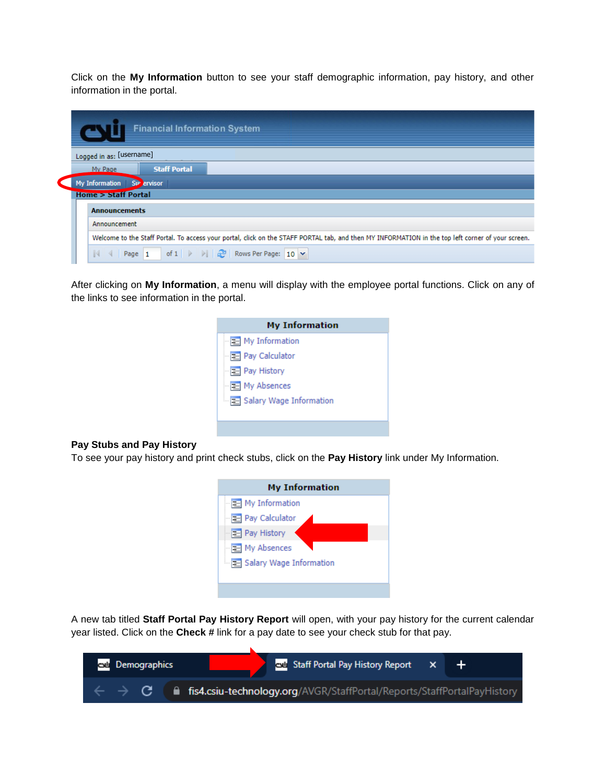Click on the **My Information** button to see your staff demographic information, pay history, and other information in the portal.

|  |                       |                           | <b>Financial Information System</b>                                                                                                               |  |  |
|--|-----------------------|---------------------------|---------------------------------------------------------------------------------------------------------------------------------------------------|--|--|
|  |                       | Logged in as: [username]  |                                                                                                                                                   |  |  |
|  |                       | My Page                   | <b>Staff Portal</b>                                                                                                                               |  |  |
|  |                       | My Information Supervisor |                                                                                                                                                   |  |  |
|  | Home $>$ Staff Portal |                           |                                                                                                                                                   |  |  |
|  |                       | <b>Announcements</b>      |                                                                                                                                                   |  |  |
|  |                       | Announcement              |                                                                                                                                                   |  |  |
|  |                       |                           | Welcome to the Staff Portal. To access your portal, click on the STAFF PORTAL tab, and then MY INFORMATION in the top left corner of your screen. |  |  |
|  |                       |                           | $\ \cdot\ $ $\ \cdot\ $ Page $\ $ of $1$ $\ \cdot\ $ $\ \cdot\ $ $\mathbb{R}$ Rows Per Page: $\ $ 10 $\vee$                                       |  |  |

After clicking on **My Information**, a menu will display with the employee portal functions. Click on any of the links to see information in the portal.

| <b>My Information</b>               |
|-------------------------------------|
| $\equiv$ My Information             |
| $\equiv$ Pay Calculator             |
| $\equiv$ Pay History                |
| $\equiv$ My Absences                |
| - <b>El Salary Wage Information</b> |
|                                     |
|                                     |

## **Pay Stubs and Pay History**

To see your pay history and print check stubs, click on the **Pay History** link under My Information.



A new tab titled **Staff Portal Pay History Report** will open, with your pay history for the current calendar year listed. Click on the **Check #** link for a pay date to see your check stub for that pay.